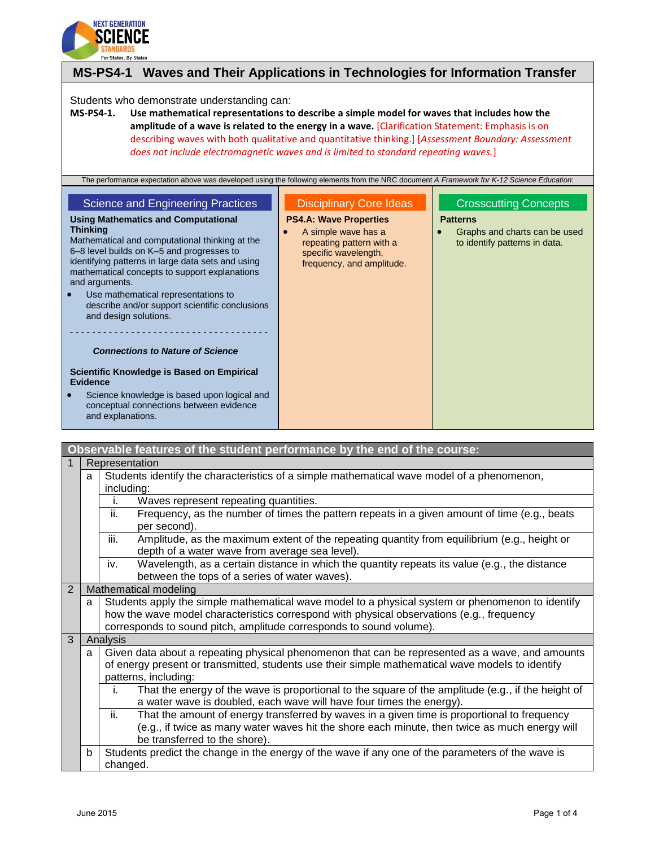

# **MS-PS4-1 Waves and Their Applications in Technologies for Information Transfer**

#### Students who demonstrate understanding can:

**MS-PS4-1. Use mathematical representations to describe a simple model for waves that includes how the amplitude of a wave is related to the energy in a wave.** [Clarification Statement: Emphasis is on describing waves with both qualitative and quantitative thinking.] [*Assessment Boundary: Assessment does not include electromagnetic waves and is limited to standard repeating waves.*]

| The performance expectation above was developed using the following elements from the NRC document A Framework for K-12 Science Education:                                                                                                                                                                                                                                                                                                  |                                                                                                                                                                         |                                                                                                                   |
|---------------------------------------------------------------------------------------------------------------------------------------------------------------------------------------------------------------------------------------------------------------------------------------------------------------------------------------------------------------------------------------------------------------------------------------------|-------------------------------------------------------------------------------------------------------------------------------------------------------------------------|-------------------------------------------------------------------------------------------------------------------|
| <b>Science and Engineering Practices</b><br><b>Using Mathematics and Computational</b><br>Thinking<br>Mathematical and computational thinking at the<br>6–8 level builds on K–5 and progresses to<br>identifying patterns in large data sets and using<br>mathematical concepts to support explanations<br>and arguments.<br>Use mathematical representations to<br>describe and/or support scientific conclusions<br>and design solutions. | <b>Disciplinary Core Ideas</b><br><b>PS4.A: Wave Properties</b><br>A simple wave has a<br>repeating pattern with a<br>specific wavelength,<br>frequency, and amplitude. | <b>Crosscutting Concepts</b><br><b>Patterns</b><br>Graphs and charts can be used<br>to identify patterns in data. |
| <b>Connections to Nature of Science</b><br>Scientific Knowledge is Based on Empirical<br><b>Evidence</b>                                                                                                                                                                                                                                                                                                                                    |                                                                                                                                                                         |                                                                                                                   |
| Science knowledge is based upon logical and<br>conceptual connections between evidence<br>and explanations.                                                                                                                                                                                                                                                                                                                                 |                                                                                                                                                                         |                                                                                                                   |

|                |   | Observable features of the student performance by the end of the course:                                                                                                                      |  |  |
|----------------|---|-----------------------------------------------------------------------------------------------------------------------------------------------------------------------------------------------|--|--|
| $\mathbf 1$    |   | Representation                                                                                                                                                                                |  |  |
|                | a | Students identify the characteristics of a simple mathematical wave model of a phenomenon,                                                                                                    |  |  |
|                |   | including:                                                                                                                                                                                    |  |  |
|                |   | Waves represent repeating quantities.<br>İ.                                                                                                                                                   |  |  |
|                |   | Frequency, as the number of times the pattern repeats in a given amount of time (e.g., beats<br>ii.                                                                                           |  |  |
|                |   | per second).                                                                                                                                                                                  |  |  |
|                |   | iii.<br>Amplitude, as the maximum extent of the repeating quantity from equilibrium (e.g., height or<br>depth of a water wave from average sea level).                                        |  |  |
|                |   |                                                                                                                                                                                               |  |  |
|                |   | Wavelength, as a certain distance in which the quantity repeats its value (e.g., the distance<br>iv.                                                                                          |  |  |
| $\overline{2}$ |   | between the tops of a series of water waves).                                                                                                                                                 |  |  |
|                |   | Mathematical modeling                                                                                                                                                                         |  |  |
|                | a | Students apply the simple mathematical wave model to a physical system or phenomenon to identify<br>how the wave model characteristics correspond with physical observations (e.g., frequency |  |  |
|                |   |                                                                                                                                                                                               |  |  |
|                |   | corresponds to sound pitch, amplitude corresponds to sound volume).                                                                                                                           |  |  |
| 3              |   | Analysis                                                                                                                                                                                      |  |  |
|                | a | Given data about a repeating physical phenomenon that can be represented as a wave, and amounts                                                                                               |  |  |
|                |   | of energy present or transmitted, students use their simple mathematical wave models to identify                                                                                              |  |  |
|                |   | patterns, including:                                                                                                                                                                          |  |  |
|                |   | That the energy of the wave is proportional to the square of the amplitude (e.g., if the height of<br>i.                                                                                      |  |  |
|                |   | a water wave is doubled, each wave will have four times the energy).                                                                                                                          |  |  |
|                |   | ii.<br>That the amount of energy transferred by waves in a given time is proportional to frequency                                                                                            |  |  |
|                |   | (e.g., if twice as many water waves hit the shore each minute, then twice as much energy will                                                                                                 |  |  |
|                |   | be transferred to the shore).                                                                                                                                                                 |  |  |
|                | b | Students predict the change in the energy of the wave if any one of the parameters of the wave is                                                                                             |  |  |
|                |   | changed.                                                                                                                                                                                      |  |  |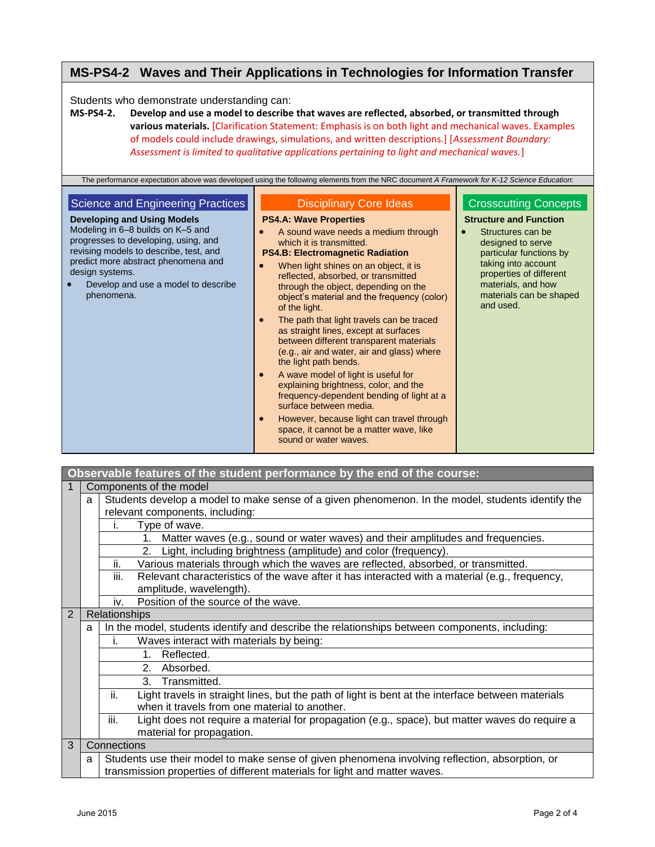# **MS-PS4-2 Waves and Their Applications in Technologies for Information Transfer**

Students who demonstrate understanding can:

**MS-PS4-2. Develop and use a model to describe that waves are reflected, absorbed, or transmitted through various materials.** [Clarification Statement: Emphasis is on both light and mechanical waves. Examples of models could include drawings, simulations, and written descriptions.] [*Assessment Boundary: Assessment is limited to qualitative applications pertaining to light and mechanical waves.*]

|                                                                                                                                                                                                                                                                                                               | The performance expectation above was developed using the following elements from the NRC document A Framework for K-12 Science Education:                                                                                                                                                                                                                                                                                                                                                                                                                                                                                                                                                                                                                                                                                                                                                                |                                                                                                                                                                                                                                                    |
|---------------------------------------------------------------------------------------------------------------------------------------------------------------------------------------------------------------------------------------------------------------------------------------------------------------|-----------------------------------------------------------------------------------------------------------------------------------------------------------------------------------------------------------------------------------------------------------------------------------------------------------------------------------------------------------------------------------------------------------------------------------------------------------------------------------------------------------------------------------------------------------------------------------------------------------------------------------------------------------------------------------------------------------------------------------------------------------------------------------------------------------------------------------------------------------------------------------------------------------|----------------------------------------------------------------------------------------------------------------------------------------------------------------------------------------------------------------------------------------------------|
| Science and Engineering Practices<br><b>Developing and Using Models</b><br>Modeling in 6–8 builds on K–5 and<br>progresses to developing, using, and<br>revising models to describe, test, and<br>predict more abstract phenomena and<br>design systems.<br>Develop and use a model to describe<br>phenomena. | <b>Disciplinary Core Ideas</b><br><b>PS4.A: Wave Properties</b><br>A sound wave needs a medium through<br>which it is transmitted.<br><b>PS4.B: Electromagnetic Radiation</b><br>When light shines on an object, it is<br>$\bullet$<br>reflected, absorbed, or transmitted<br>through the object, depending on the<br>object's material and the frequency (color)<br>of the light.<br>The path that light travels can be traced<br>$\bullet$<br>as straight lines, except at surfaces<br>between different transparent materials<br>(e.g., air and water, air and glass) where<br>the light path bends.<br>A wave model of light is useful for<br>$\bullet$<br>explaining brightness, color, and the<br>frequency-dependent bending of light at a<br>surface between media.<br>However, because light can travel through<br>$\bullet$<br>space, it cannot be a matter wave, like<br>sound or water waves. | <b>Crosscutting Concepts</b><br><b>Structure and Function</b><br>Structures can be<br>designed to serve<br>particular functions by<br>taking into account<br>properties of different<br>materials, and how<br>materials can be shaped<br>and used. |

#### **Observable features of the student performance by the end of the course:** 1 | Components of the model a Students develop a model to make sense of a given phenomenon. In the model, students identify the relevant components, including: i. Type of wave. 1. Matter waves (e.g., sound or water waves) and their amplitudes and frequencies. 2. Light, including brightness (amplitude) and color (frequency). ii. Various materials through which the waves are reflected, absorbed, or transmitted. iii. Relevant characteristics of the wave after it has interacted with a material (e.g., frequency, amplitude, wavelength). iv. Position of the source of the wave. 2 Relationships  $a \mid$  In the model, students identify and describe the relationships between components, including: i. Waves interact with materials by being: 1. Reflected. 2. Absorbed. 3. Transmitted. ii. Light travels in straight lines, but the path of light is bent at the interface between materials when it travels from one material to another. iii. Light does not require a material for propagation (e.g., space), but matter waves do require a material for propagation. 3 Connections a Students use their model to make sense of given phenomena involving reflection, absorption, or transmission properties of different materials for light and matter waves.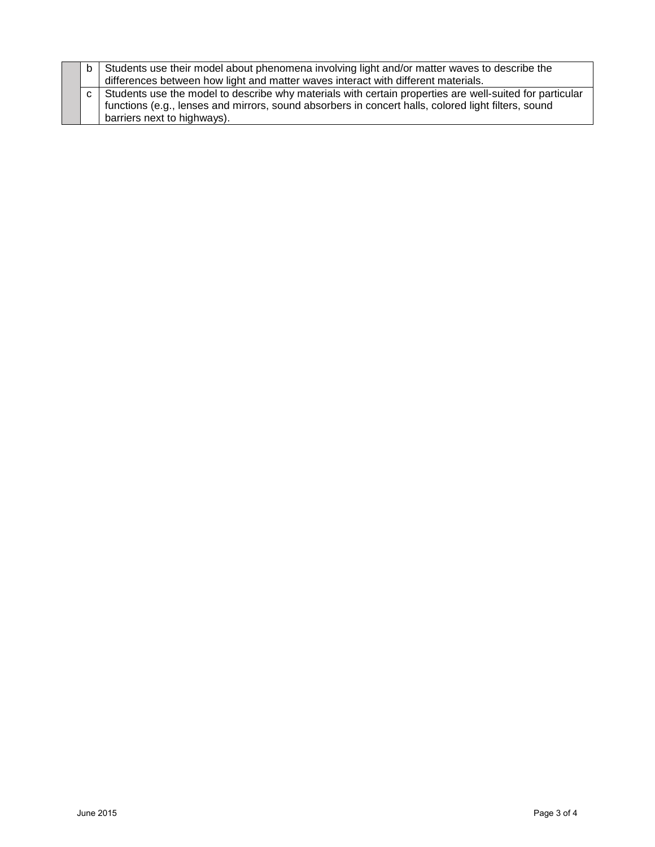|  | b   Students use their model about phenomena involving light and/or matter waves to describe the<br>differences between how light and matter waves interact with different materials.                                                             |
|--|---------------------------------------------------------------------------------------------------------------------------------------------------------------------------------------------------------------------------------------------------|
|  | c   Students use the model to describe why materials with certain properties are well-suited for particular<br>functions (e.g., lenses and mirrors, sound absorbers in concert halls, colored light filters, sound<br>barriers next to highways). |